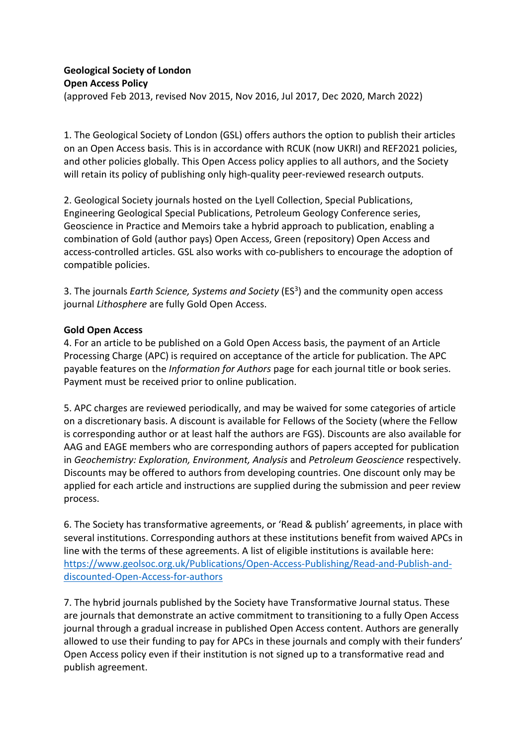## **Geological Society of London Open Access Policy** (approved Feb 2013, revised Nov 2015, Nov 2016, Jul 2017, Dec 2020, March 2022)

1. The Geological Society of London (GSL) offers authors the option to publish their articles on an Open Access basis. This is in accordance with RCUK (now UKRI) and REF2021 policies, and other policies globally. This Open Access policy applies to all authors, and the Society will retain its policy of publishing only high-quality peer-reviewed research outputs.

2. Geological Society journals hosted on the Lyell Collection, Special Publications, Engineering Geological Special Publications, Petroleum Geology Conference series, Geoscience in Practice and Memoirs take a hybrid approach to publication, enabling a combination of Gold (author pays) Open Access, Green (repository) Open Access and access-controlled articles. GSL also works with co-publishers to encourage the adoption of compatible policies.

3. The journals *Earth Science, Systems and Society* (ES3) and the community open access journal *Lithosphere* are fully Gold Open Access.

### **Gold Open Access**

4. For an article to be published on a Gold Open Access basis, the payment of an Article Processing Charge (APC) is required on acceptance of the article for publication. The APC payable features on the *Information for Authors* page for each journal title or book series. Payment must be received prior to online publication.

5. APC charges are reviewed periodically, and may be waived for some categories of article on a discretionary basis. A discount is available for Fellows of the Society (where the Fellow is corresponding author or at least half the authors are FGS). Discounts are also available for AAG and EAGE members who are corresponding authors of papers accepted for publication in *Geochemistry: Exploration, Environment, Analysis* and *Petroleum Geoscience* respectively. Discounts may be offered to authors from developing countries. One discount only may be applied for each article and instructions are supplied during the submission and peer review process.

6. The Society has transformative agreements, or 'Read & publish' agreements, in place with several institutions. Corresponding authors at these institutions benefit from waived APCs in line with the terms of these agreements. A list of eligible institutions is available here: [https://www.geolsoc.org.uk/Publications/Open-Access-Publishing/Read-and-Publish-and](https://www.geolsoc.org.uk/Publications/Open-Access-Publishing/Read-and-Publish-and-discounted-Open-Access-for-authors)[discounted-Open-Access-for-authors](https://www.geolsoc.org.uk/Publications/Open-Access-Publishing/Read-and-Publish-and-discounted-Open-Access-for-authors)

7. The hybrid journals published by the Society have Transformative Journal status. These are journals that demonstrate an active commitment to transitioning to a fully Open Access journal through a gradual increase in published Open Access content. Authors are generally allowed to use their funding to pay for APCs in these journals and comply with their funders' Open Access policy even if their institution is not signed up to a transformative read and publish agreement.